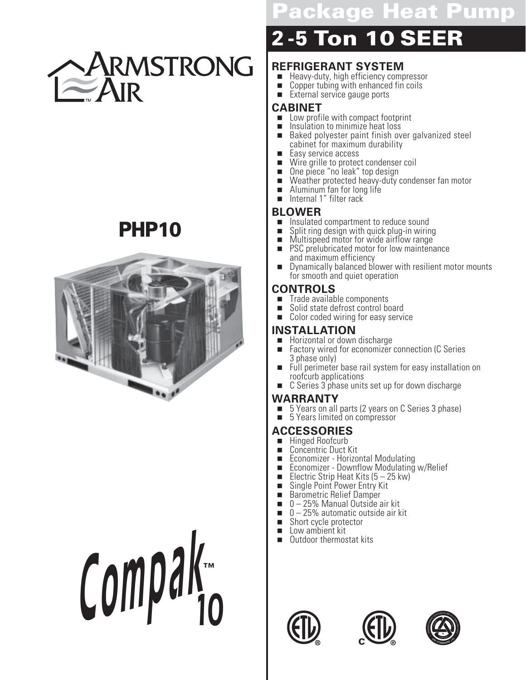

# **PHP10**



**Compa<sup>k</sup> 10 ™**

# **Rage Heat Pump**

# **2 - 5 Ton 10 SEER**

#### **REFRIGERANT SYSTEM**

- Heavy-duty, high efficiency compressor<br>■ Copper tubing with enhanced fin coils
- Copper tubing with enhanced fin coils<br>■ External service gauge ports
- External service gauge ports

## **CABINET**

- Low profile with compact footprint<br>■ Insulation to minimize heat loss
- **IF Insulation to minimize heat loss**<br>**E** Baked polvester paint finish over
- Baked polyester paint finish over galvanized steel cabinet for maximum durability
- Easy service access<br>■ Wire grille to protec
- **IDED:** Wire grille to protect condenser coil
- **. One piece "no leak" top design E** Weather protected heavy-duty condenser fan motor
- 
- Aluminum fan for long life<br>■ Internal 1″ filter rack Internal 1" filter rack

# **BLOWER**

- **Insulated compartment to reduce sound<br>
Bilist Consult in a design with quick plug-in wirin**
- **B** Split ring design with quick plug-in wiring
- **I** Multispeed motor for wide airflow range
- PSC prelubricated motor for low maintenance and maximum efficiency
- Dynamically balanced blower with resilient motor mounts for smooth and quiet operation

#### **CONTROLS**

- Trade available components<br>■ Solid state defrost control be
- Solid state defrost control board<br>■ Color coded wiring for easy servi
- Color coded wiring for easy service

## **INSTALLATION**

- **E** Horizontal or down discharge<br>**E** Factory wired for economizer
- Factory wired for economizer connection (C Series 3 phase only)
- Full perimeter base rail system for easy installation on roofcurb applications
- C Series 3 phase units set up for down discharge

## WARRANTY

- 5 Years on all parts (2 years on C Series 3 phase)<br>■ 5 Years limited on compressor
- ! 5 Years limited on compressor

# **ACCESSORIES**

- Hinged Roofcurb<br>■ Concentric Duct K
- Concentric Duct Kit<br>■ Economizer Horizo
- **Economizer Horizontal Modulating<br>
Economizer Downflow Modulating**
- **Economizer Downflow Modulating w/Relief**
- **Electric Strip Heat Kits (5 25 kw)**
- **B** Single Point Power Entry Kit
- **Barometric Relief Damper**
- 0-25% Manual Outside air kit
- $\blacksquare$  0 25% automatic outside air kit
- Short cycle protector
- Low ambient kit
- Outdoor thermostat kits





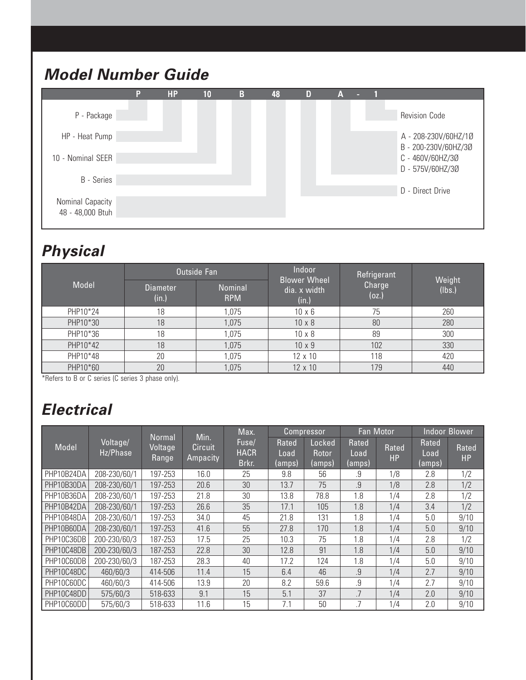# **Model Number Guide**



## **Physical**

|          |                          | <b>Outside Fan</b>    | Indoor                                       | Refrigerant     |                  |
|----------|--------------------------|-----------------------|----------------------------------------------|-----------------|------------------|
| Model    | <b>Diameter</b><br>(in.) | Nominal<br><b>RPM</b> | <b>Blower Wheel</b><br>dia. x width<br>(in.) | Charge<br>(oz.) | Weight<br>(lbs.) |
| PHP10*24 | 18                       | 1,075                 | $10 \times 6$                                | 75              | 260              |
| PHP10*30 | 18                       | 1,075                 | $10 \times 8$                                | 80              | 280              |
| PHP10*36 | 18                       | 1,075                 | $10 \times 8$                                | 89              | 300              |
| PHP10*42 | 18                       | 1,075                 | $10 \times 9$                                | 102             | 330              |
| PHP10*48 | 20                       | 1,075                 | 12 x 10                                      | 118             | 420              |
| PHP10*60 | 20                       | 1,075                 | 12 x 10                                      | 179             | 440              |

\*Refers to B or C series (C series 3 phase only).

# **Electrical**

|            |                      |                            |                                    | Max.                          |                         | <b>Compressor</b>         |                         | Fan Motor          |                         | <b>Indoor Blower</b> |
|------------|----------------------|----------------------------|------------------------------------|-------------------------------|-------------------------|---------------------------|-------------------------|--------------------|-------------------------|----------------------|
| Model      | Voltage/<br>Hz/Phase | Normal<br>Voltage<br>Range | Min.<br><b>Circuit</b><br>Ampacity | Fuse/<br><b>HACR</b><br>Brkr. | Rated<br>Load<br>(amps) | Locked<br>Rotor<br>(amps) | Rated<br>Load<br>(amps) | Rated<br><b>HP</b> | Rated<br>Load<br>(amps) | Rated<br>HP          |
| PHP10B24DA | 208-230/60/1         | 197-253                    | 16.0                               | 25                            | 9.8                     | 56                        | .9                      | 1/8                | 2.8                     | 1/2                  |
| PHP10B30DA | 208-230/60/1         | 197-253                    | 20.6                               | 30                            | 13.7                    | 75                        | 9                       | 1/8                | 2.8                     | 1/2                  |
| PHP10B36DA | 208-230/60/1         | 197-253                    | 21.8                               | 30                            | 13.8                    | 78.8                      | 1.8                     | 1/4                | 2.8                     | 1/2                  |
| PHP10B42DA | 208-230/60/1         | 197-253                    | 26.6                               | 35                            | 17.1                    | 105                       | 1.8                     | 1/4                | 3.4                     | 1/2                  |
| PHP10B48DA | 208-230/60/1         | 197-253                    | 34.0                               | 45                            | 21.8                    | 131                       | 1.8                     | 1/4                | 5.0                     | 9/10                 |
| PHP10B60DA | 208-230/60/1         | 197-253                    | 41.6                               | 55                            | 27.8                    | 170                       | 1.8                     | 1/4                | 5.0                     | 9/10                 |
| PHP10C36DB | 200-230/60/3         | 187-253                    | 17.5                               | 25                            | 10.3                    | 75                        | 1.8                     | 1/4                | 2.8                     | 1/2                  |
| PHP10C48DB | 200-230/60/3         | 187-253                    | 22.8                               | 30                            | 12.8                    | 91                        | 1.8                     | 1/4                | 5.0                     | 9/10                 |
| PHP10C60DB | 200-230/60/3         | 187-253                    | 28.3                               | 40                            | 17.2                    | 124                       | 1.8                     | 1/4                | 5.0                     | 9/10                 |
| PHP10C48DC | 460/60/3             | 414-506                    | 11.4                               | 15                            | 6.4                     | 46                        | .9                      | 1/4                | 2.7                     | 9/10                 |
| PHP10C60DC | 460/60/3             | 414-506                    | 13.9                               | 20                            | 8.2                     | 59.6                      | 9                       | 1/4                | 2.7                     | 9/10                 |
| PHP10C48DD | 575/60/3             | 518-633                    | 9.1                                | 15                            | 5.1                     | 37                        | .7                      | 1/4                | 2.0                     | 9/10                 |
| PHP10C60DD | 575/60/3             | 518-633                    | 11.6                               | 15                            | 7.1                     | 50                        | .7                      | 1/4                | 2.0                     | 9/10                 |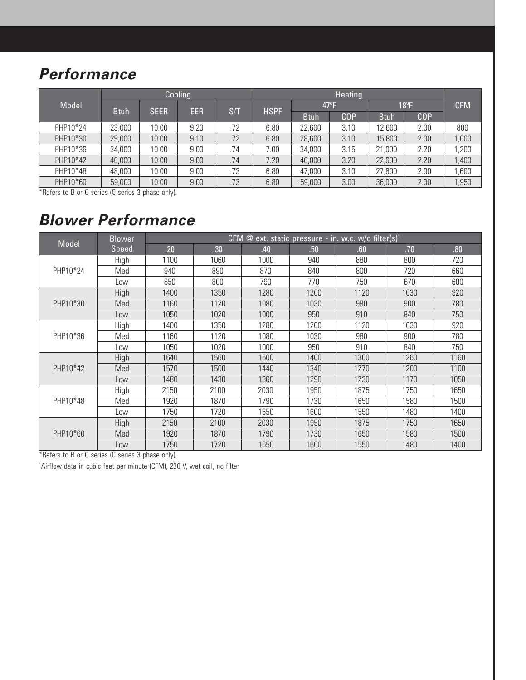# **Performance**

|          |             |             | Cooling    |     |             |             |               |                |            |       |
|----------|-------------|-------------|------------|-----|-------------|-------------|---------------|----------------|------------|-------|
| Model    | <b>Btuh</b> | <b>SEER</b> | <b>EER</b> | S/T | <b>HSPF</b> |             | $47^{\circ}F$ | $18^{\circ}$ F | <b>CFM</b> |       |
|          |             |             |            |     |             | <b>Btuh</b> | COP           | <b>Btuh</b>    | COP        |       |
| PHP10*24 | 23,000      | 10.00       | 9.20       | .72 | 6.80        | 22,600      | 3.10          | 12,600         | 2.00       | 800   |
| PHP10*30 | 29,000      | 10.00       | 9.10       | .72 | 6.80        | 28,600      | 3.10          | 15,800         | 2.00       | 1,000 |
| PHP10*36 | 34,000      | 10.00       | 9.00       | .74 | .00         | 34,000      | 3.15          | 21,000         | 2.20       | ,200  |
| PHP10*42 | 40,000      | 10.00       | 9.00       | .74 | 7.20        | 40,000      | 3.20          | 22,600         | 2.20       | 1,400 |
| PHP10*48 | 48,000      | 10.00       | 9.00       | .73 | 6.80        | 47,000      | 3.10          | 27,600         | 2.00       | ,600  |
| PHP10*60 | 59,000      | 10.00       | 9.00       | .73 | 6.80        | 59,000      | 3.00          | 36,000         | 2.00       | ,950  |

\*Refers to B or C series (C series 3 phase only).

## **Blower Performance**

|          | <b>Blower</b> | CFM @ ext. static pressure - in. w.c. w/o filter(s) <sup>1</sup> |      |      |      |      |      |      |  |  |  |  |
|----------|---------------|------------------------------------------------------------------|------|------|------|------|------|------|--|--|--|--|
| Model    | Speed         | .20                                                              | .30  | .40  | .50  | .60  | .70  | .80  |  |  |  |  |
|          | High          | 1100                                                             | 1060 | 1000 | 940  | 880  | 800  | 720  |  |  |  |  |
| PHP10*24 | Med           | 940                                                              | 890  | 870  | 840  | 800  | 720  | 660  |  |  |  |  |
|          | Low           | 850                                                              | 800  | 790  | 770  | 750  | 670  | 600  |  |  |  |  |
|          | High          | 1400                                                             | 1350 | 1280 | 1200 | 1120 | 1030 | 920  |  |  |  |  |
| PHP10*30 | Med           | 1160                                                             | 1120 | 1080 | 1030 | 980  | 900  | 780  |  |  |  |  |
|          | Low           | 1050                                                             | 1020 | 1000 | 950  | 910  | 840  | 750  |  |  |  |  |
|          | High          | 1400                                                             | 1350 | 1280 | 1200 | 1120 | 1030 | 920  |  |  |  |  |
| PHP10*36 | Med           | 1160                                                             | 1120 | 1080 | 1030 | 980  | 900  | 780  |  |  |  |  |
|          | Low           | 1050                                                             | 1020 | 1000 | 950  | 910  | 840  | 750  |  |  |  |  |
|          | High          | 1640                                                             | 1560 | 1500 | 1400 | 1300 | 1260 | 1160 |  |  |  |  |
| PHP10*42 | Med           | 1570                                                             | 1500 | 1440 | 1340 | 1270 | 1200 | 1100 |  |  |  |  |
|          | Low           | 1480                                                             | 1430 | 1360 | 1290 | 1230 | 1170 | 1050 |  |  |  |  |
|          | High          | 2150                                                             | 2100 | 2030 | 1950 | 1875 | 1750 | 1650 |  |  |  |  |
| PHP10*48 | Med           | 1920                                                             | 1870 | 1790 | 1730 | 1650 | 1580 | 1500 |  |  |  |  |
|          | Low           | 1750                                                             | 1720 | 1650 | 1600 | 1550 | 1480 | 1400 |  |  |  |  |
|          | High          | 2150                                                             | 2100 | 2030 | 1950 | 1875 | 1750 | 1650 |  |  |  |  |
| PHP10*60 | Med           | 1920                                                             | 1870 | 1790 | 1730 | 1650 | 1580 | 1500 |  |  |  |  |
|          | Low           | 1750                                                             | 1720 | 1650 | 1600 | 1550 | 1480 | 1400 |  |  |  |  |

\*Refers to B or C series (C series 3 phase only).

1 Airflow data in cubic feet per minute (CFM), 230 V, wet coil, no filter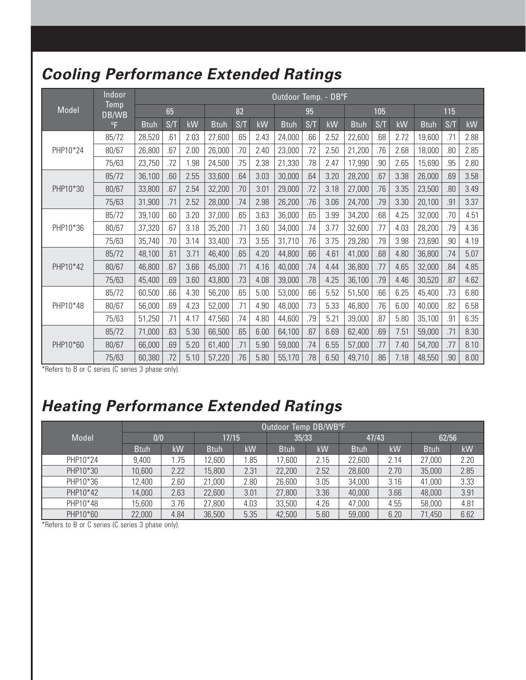# **Cooling Performance Extended Ratings**

|          | Indoor        |             |     |      |             |     |      | Outdoor Temp. - DB°F |     |      |             |     |      |             |     |      |
|----------|---------------|-------------|-----|------|-------------|-----|------|----------------------|-----|------|-------------|-----|------|-------------|-----|------|
| Model    | Temp<br>DB/WB |             | 65  |      |             | 82  |      |                      | 95  |      |             | 105 |      |             | 115 |      |
|          | $^{\circ}$ F  | <b>Btuh</b> | S/T | kW   | <b>Btuh</b> | S/T | kW   | <b>Btuh</b>          | S/T | kW   | <b>Btuh</b> | S/T | kW   | <b>Btuh</b> | S/T | kW   |
|          | 85/72         | 28,520      | .61 | 2.03 | 27,600      | .65 | 2.43 | 24,000               | .66 | 2.52 | 22,600      | .68 | 2.72 | 19,600      | .71 | 2.88 |
| PHP10*24 | 80/67         | 26,800      | .67 | 2.00 | 26,000      | .70 | 2.40 | 23,000               | .72 | 2.50 | 21,200      | .76 | 2.68 | 18,000      | .80 | 2.85 |
|          | 75/63         | 23,750      | .72 | 1.98 | 24,500      | .75 | 2.38 | 21,330               | .78 | 2.47 | 17,990      | .90 | 2.65 | 15,690      | .95 | 2.80 |
|          | 85/72         | 36,100      | .60 | 2.55 | 33,600      | .64 | 3.03 | 30,000               | .64 | 3.20 | 28,200      | .67 | 3.38 | 26,000      | .69 | 3.58 |
| PHP10*30 | 80/67         | 33,800      | .67 | 2.54 | 32,200      | .70 | 3.01 | 29,000               | .72 | 3.18 | 27,000      | .76 | 3.35 | 23,500      | .80 | 3.49 |
|          | 75/63         | 31,900      | .71 | 2.52 | 28,000      | .74 | 2.98 | 26,200               | .76 | 3.06 | 24,700      | .79 | 3.30 | 20,100      | .91 | 3.37 |
|          | 85/72         | 39,100      | .60 | 3.20 | 37,000      | .65 | 3.63 | 36,000               | .65 | 3.99 | 34,200      | .68 | 4.25 | 32,000      | .70 | 4.51 |
| PHP10*36 | 80/67         | 37,320      | .67 | 3.18 | 35,200      | .71 | 3.60 | 34,000               | .74 | 3.77 | 32,600      | .77 | 4.03 | 28,200      | .79 | 4.36 |
|          | 75/63         | 35,740      | .70 | 3.14 | 33,400      | .73 | 3.55 | 31,710               | .76 | 3.75 | 29,280      | .79 | 3.98 | 23,690      | .90 | 4.19 |
|          | 85/72         | 48,100      | .61 | 3.71 | 46,400      | .65 | 4.20 | 44,800               | .66 | 4.61 | 41,000      | .68 | 4.80 | 36,800      | .74 | 5.07 |
| PHP10*42 | 80/67         | 46,800      | .67 | 3.66 | 45,000      | .71 | 4.16 | 40,000               | .74 | 4.44 | 36,800      | .77 | 4.65 | 32,000      | .84 | 4.85 |
|          | 75/63         | 45,400      | .69 | 3.60 | 43,800      | .73 | 4.08 | 39,000               | .78 | 4.25 | 36,100      | .79 | 4.46 | 30,520      | .87 | 4.62 |
|          | 85/72         | 60,500      | .66 | 4.30 | 56,200      | .65 | 5.00 | 53,000               | .66 | 5.52 | 51,500      | .66 | 6.25 | 45,400      | .73 | 6.80 |
| PHP10*48 | 80/67         | 56,000      | .69 | 4.23 | 52,000      | .71 | 4.90 | 48,000               | .73 | 5.33 | 46,800      | .76 | 6.00 | 40,000      | .82 | 6.58 |
|          | 75/63         | 51,250      | .71 | 4.17 | 47,560      | .74 | 4.80 | 44,600               | .79 | 5.21 | 39,000      | .87 | 5.80 | 35,100      | .91 | 6.35 |
|          | 85/72         | 71,000      | .63 | 5.30 | 66,500      | .65 | 6.00 | 64,100               | .67 | 6.69 | 62,400      | .69 | 7.51 | 59,000      | .71 | 8.30 |
| PHP10*60 | 80/67         | 66,000      | .69 | 5.20 | 61,400      | .71 | 5.90 | 59,000               | .74 | 6.55 | 57,000      | .77 | 7.40 | 54,700      | .77 | 8.10 |
|          | 75/63         | 60,380      | .72 | 5.10 | 57,220      | .76 | 5.80 | 55,170               | .78 | 6.50 | 49,710      | .86 | 7.18 | 48,550      | .90 | 8.00 |

\*Refers to B or C series (C series 3 phase only).

# **Heating Performance Extended Ratings**

|          |             | Outdoor Temp DB/WB°F |             |      |             |      |             |      |             |      |  |  |
|----------|-------------|----------------------|-------------|------|-------------|------|-------------|------|-------------|------|--|--|
| Model    | 0/0         |                      | 17/15       |      | 35/33       |      | 47/43       |      | 62/56       |      |  |  |
|          | <b>Btuh</b> | kW                   | <b>Btuh</b> | kW   | <b>Btuh</b> | kW   | <b>Btuh</b> | kW   | <b>Btuh</b> | kW   |  |  |
| PHP10*24 | 9,400       | 1.75                 | 12,600      | .85  | 17,600      | 2.15 | 22,600      | 2.14 | 27,000      | 2.20 |  |  |
| PHP10*30 | 10,600      | 2.22                 | 15,800      | 2.31 | 22,200      | 2.52 | 28,600      | 2.70 | 35,000      | 2.85 |  |  |
| PHP10*36 | 12,400      | 2.60                 | 21,000      | 2.80 | 26,600      | 3.05 | 34,000      | 3.16 | 41,000      | 3.33 |  |  |
| PHP10*42 | 14,000      | 2.63                 | 22,600      | 3.01 | 27,800      | 3.36 | 40,000      | 3.66 | 48,000      | 3.91 |  |  |
| PHP10*48 | 15,600      | 3.76                 | 27,800      | 4.03 | 33,500      | 4.26 | 47,000      | 4.55 | 58,000      | 4.81 |  |  |
| PHP10*60 | 22,000      | 4.84                 | 36,500      | 5.35 | 42,500      | 5.60 | 59,000      | 6.20 | 71,450      | 6.62 |  |  |

\*Refers to B or C series (C series 3 phase only).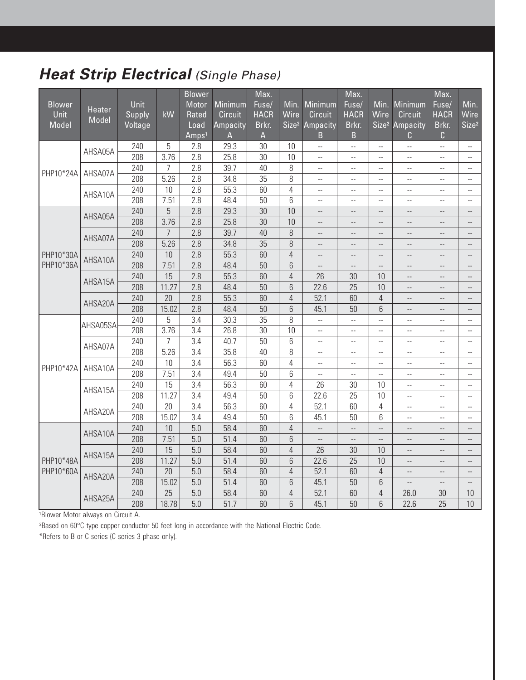# **Heat Strip Electrical** (Single Phase)

|               |                        |         |                | <b>Blower</b>     |                 | Max.            |                   |                          | Max.                     |                          |                                               | Max.                     |                          |
|---------------|------------------------|---------|----------------|-------------------|-----------------|-----------------|-------------------|--------------------------|--------------------------|--------------------------|-----------------------------------------------|--------------------------|--------------------------|
| <b>Blower</b> |                        | Unit    |                | Motor             | Minimum         | Fuse/           | Min.              | <b>Minimum</b>           | Fuse/                    | Min.                     | Minimum                                       | Fuse/                    | Min.                     |
| <b>Unit</b>   | <b>Heater</b><br>Model | Supply  | kW             | Rated             | <b>Circuit</b>  | <b>HACR</b>     | Wire              | <b>Circuit</b>           | <b>HACR</b>              | Wire                     | <b>Circuit</b>                                | <b>HACR</b>              | Wire                     |
| Model         |                        | Voltage |                | Load              | <b>Ampacity</b> | Brkr.           | Size <sup>2</sup> | Ampacity                 | Brkr.                    | Size <sup>2</sup>        | <b>Ampacity</b>                               | Brkr.                    | Size <sup>2</sup>        |
|               |                        |         |                | Amps <sup>1</sup> | A               | $\overline{A}$  |                   | B                        | B                        |                          | С                                             | C                        |                          |
|               | AHSA05A                | 240     | 5              | 2.8               | 29.3            | 30              | 10                | $\bar{\omega}$ .         | ω.                       | $\bar{\mathbb{Z}}$       | $\overline{a}$                                | $\overline{\phantom{a}}$ | $\overline{a}$           |
|               |                        | 208     | 3.76           | $2.\overline{8}$  | 25.8            | $\overline{30}$ | 10                | $\overline{\phantom{a}}$ | $\overline{a}$           | $\overline{\phantom{a}}$ | $\overline{\phantom{a}}$                      | $\overline{\phantom{a}}$ | $\overline{a}$           |
| PHP10*24A     | AHSA07A                | 240     | 7              | 2.8               | 39.7            | 40              | 8                 | $\bar{\phantom{a}}$      | $\overline{a}$           | $\mathbf{u}$             | $\mathord{\hspace{1pt}\text{--}\hspace{1pt}}$ | ÷,                       | $\overline{a}$           |
|               |                        | 208     | 5.26           | 2.8               | 34.8            | 35              | 8                 | $\overline{a}$           | $\overline{a}$           | $-$                      | $\overline{a}$                                | $-$                      | $\overline{a}$           |
|               | AHSA10A                | 240     | 10             | $\overline{2.8}$  | 55.3            | 60              | $\overline{4}$    | $\overline{\phantom{a}}$ | $-$                      | $\overline{\phantom{a}}$ | $\qquad \qquad -$                             | $\overline{\phantom{a}}$ | $\overline{\phantom{a}}$ |
|               |                        | 208     | 7.51           | 2.8               | 48.4            | $\overline{50}$ | 6                 | $\overline{a}$           | $\overline{a}$           | $\mathbf{u}$             | $\mathord{\hspace{1pt}\text{--}\hspace{1pt}}$ | $\overline{a}$           | $\overline{a}$           |
|               | AHSA05A                | 240     | 5              | 2.8               | 29.3            | 30              | 10                | $-\,-$                   | $\qquad \qquad -$        | $-$                      | $-\,-$                                        | $-$                      | $\overline{\phantom{a}}$ |
|               |                        | 208     | 3.76           | $\overline{2.8}$  | 25.8            | $\overline{30}$ | 10                | $\overline{a}$           | $\overline{\phantom{a}}$ | $\overline{\phantom{a}}$ | $\overline{\phantom{a}}$                      | $\overline{\phantom{a}}$ | $\overline{\phantom{a}}$ |
|               | AHSA07A                | 240     | $\overline{7}$ | 2.8               | 39.7            | 40              | 8                 | $\overline{a}$           | $\overline{a}$           | $\sim$                   | $\overline{a}$                                | $\qquad \qquad -$        | $\overline{\phantom{a}}$ |
|               |                        | 208     | 5.26           | 2.8               | 34.8            | 35              | 8                 | $\overline{a}$           | $\overline{a}$           | $\overline{\phantom{a}}$ | $\overline{a}$                                | $\overline{\phantom{a}}$ | $\overline{\phantom{a}}$ |
| PHP10*30A     | AHSA10A                | 240     | 10             | 2.8               | 55.3            | 60              | $\overline{4}$    | $\overline{a}$           | $\overline{\phantom{a}}$ | $-$                      | $\qquad \qquad -$                             | $\overline{\phantom{a}}$ | $\overline{\phantom{a}}$ |
| PHP10*36A     |                        | 208     | 7.51           | 2.8               | 48.4            | 50              | $6\,$             | $\overline{\phantom{a}}$ | $\overline{\phantom{a}}$ | $\overline{\phantom{a}}$ | $-$                                           | $-\,-$                   | $\overline{\phantom{a}}$ |
|               | AHSA15A                | 240     | 15             | 2.8               | 55.3            | 60              | $\sqrt{4}$        | 26                       | 30                       | 10                       | $-$                                           | $\overline{\phantom{a}}$ | $\cdots$                 |
|               |                        | 208     | 11.27          | 2.8               | 48.4            | 50              | $6\,$             | 22.6                     | 25                       | 10                       | $\cdots$                                      | --                       | $\overline{\phantom{a}}$ |
|               | AHSA20A                | 240     | 20             | 2.8               | 55.3            | 60              | $\overline{4}$    | 52.1                     | 60                       | $\overline{4}$           | $-\,-$                                        | $\qquad \qquad -$        | $\qquad \qquad -$        |
|               |                        | 208     | 15.02          | $\overline{2.8}$  | 48.4            | 50              | $6\phantom{a}$    | 45.1                     | 50                       | 6                        | $\overline{a}$                                | $\overline{a}$           | $\overline{\phantom{a}}$ |
|               | AHSA05SA               | 240     | 5              | 3.4               | 30.3            | 35              | 8                 | u.                       | u.                       | ÷.                       | $\overline{a}$                                | $-$                      | $\overline{a}$           |
|               |                        | 208     | 3.76           | 3.4               | 26.8            | $\overline{30}$ | 10                | $\overline{\phantom{a}}$ | $\overline{a}$           | $\overline{\phantom{a}}$ | $-$                                           | $-$                      | $\overline{a}$           |
|               | AHSA07A                | 240     | $\overline{7}$ | $\overline{3.4}$  | 40.7            | $\overline{50}$ | $\overline{6}$    | $\bar{\phantom{a}}$      | $\overline{a}$           | $\mathbf{u}$             | $\overline{a}$                                | $\overline{a}$           | $\overline{a}$           |
|               |                        | 208     | 5.26           | 3.4               | 35.8            | 40              | 8                 | $\ddotsc$                | $\cdots$                 | $\overline{\phantom{m}}$ | $-$                                           | $-$                      | $\overline{\phantom{a}}$ |
| PHP10*42A     | AHSA10A                | 240     | 10             | 3.4               | 56.3            | 60              | $\overline{4}$    | ÷.                       | ÷-                       | $\bar{\mathbb{Z}}$       | Ξ.                                            | Ξ.                       | $\overline{a}$           |
|               |                        | 208     | 7.51           | $\overline{3.4}$  | 49.4            | 50              | 6                 | ÷.                       | $\overline{a}$           | $\overline{\phantom{a}}$ | Ξ.                                            | Ξ.                       | $\overline{a}$           |
|               | AHSA15A                | 240     | 15             | 3.4               | 56.3            | 60              | $\overline{4}$    | 26                       | 30                       | 10                       | Ξ.                                            | Ξ.                       | Ξ.                       |
|               |                        | 208     | 11.27          | 3.4               | 49.4            | 50              | 6                 | 22.6                     | 25                       | 10                       | $\overline{\phantom{a}}$                      | --                       | 4                        |
|               | AHSA20A                | 240     | 20             | $\overline{3.4}$  | 56.3            | 60              | $\overline{4}$    | 52.1                     | 60                       | $\overline{4}$           | Ξ.                                            | Ξ.                       | $\overline{\phantom{a}}$ |
|               |                        | 208     | 15.02          | 3.4               | 49.4            | 50              | 6                 | 45.1                     | 50                       | 6                        | $\overline{\phantom{m}}$                      | $-$                      | $\overline{a}$           |
|               | AHSA10A                | 240     | 10             | $\overline{5.0}$  | 58.4            | 60              | $\overline{4}$    | $\overline{\phantom{a}}$ | $\overline{\phantom{a}}$ | $\overline{\phantom{a}}$ | $\overline{\phantom{a}}$                      | $\overline{\phantom{a}}$ | $\overline{\phantom{a}}$ |
|               |                        | 208     | 7.51           | 5.0               | 51.4            | 60              | $6\phantom{1}$    | $\overline{a}$           | $\overline{a}$           | $\overline{a}$           | $\overline{\phantom{a}}$                      | $\qquad \qquad -$        | $\overline{\phantom{a}}$ |
|               | AHSA15A                | 240     | 15             | 5.0               | 58.4            | 60              | $\overline{4}$    | 26                       | 30                       | 10                       | $\sim$                                        | $\overline{\phantom{a}}$ | $\overline{\phantom{a}}$ |
| PHP10*48A     |                        | 208     | 11.27          | 5.0               | 51.4            | 60              | $6\,$             | 22.6                     | 25                       | 10                       | $\qquad \qquad -$                             | $\qquad \qquad -$        | $\overline{\phantom{a}}$ |
| PHP10*60A     | AHSA20A                | 240     | 20             | 5.0               | 58.4            | 60              | $\overline{4}$    | 52.1                     | 60                       | $\overline{4}$           | $\cdots$                                      | $-$                      | $\overline{\phantom{a}}$ |
|               |                        | 208     | 15.02          | 5.0               | 51.4            | 60              | 6                 | 45.1                     | 50                       | 6                        | $\overline{a}$                                | $-$                      | $-$                      |
|               | AHSA25A                | 240     | 25             | 5.0               | 58.4            | 60              | $\overline{4}$    | 52.1                     | 60                       | $\overline{4}$           | 26.0                                          | 30                       | 10                       |
|               |                        | 208     | 18.78          | 5.0               | 51.7            | 60              | 6                 | 45.1                     | 50                       | 6                        | 22.6                                          | 25                       | 10                       |

1Blower Motor always on Circuit A.

²Based on 60°C type copper conductor 50 feet long in accordance with the National Electric Code.

\*Refers to B or C series (C series 3 phase only).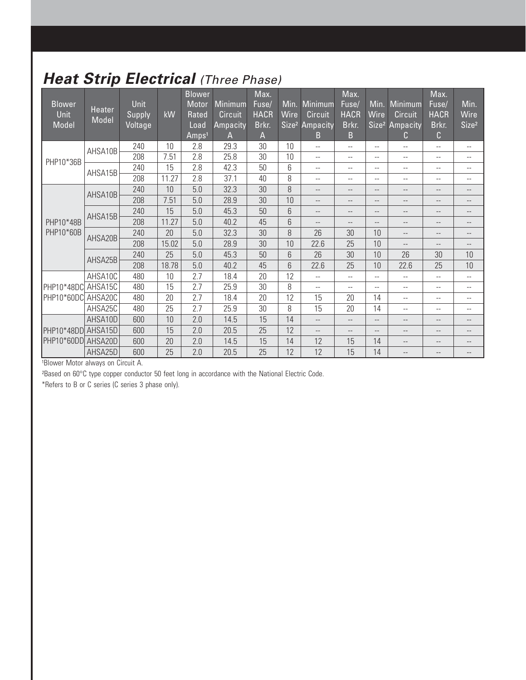# **Heat Strip Electrical (Three Phase)**

| <b>Blower</b><br><b>Unit</b><br>Model | <b>Heater</b><br>Model | Unit<br>Supply<br>Voltage | kW    | <b>Blower</b><br>Motor<br>Rated<br>Load<br>Amps <sup>1</sup> | Minimum<br><b>Circuit</b><br>Ampacity<br>A | Max.<br>Fuse/<br><b>HACR</b><br>Brkr.<br>$\overline{A}$ | Min.<br>Wire<br>Size <sup>2</sup> | Minimum<br><b>Circuit</b><br>Ampacity<br>B | Max.<br>Fuse/<br><b>HACR</b><br>Brkr.<br>B | Min.<br>Wire             | Minimum<br><b>Circuit</b><br>Size <sup>2</sup> Ampacity<br>C | Max.<br>Fuse/<br><b>HACR</b><br>Brkr.<br>C | Min.<br>Wire<br>Size <sup>2</sup> |
|---------------------------------------|------------------------|---------------------------|-------|--------------------------------------------------------------|--------------------------------------------|---------------------------------------------------------|-----------------------------------|--------------------------------------------|--------------------------------------------|--------------------------|--------------------------------------------------------------|--------------------------------------------|-----------------------------------|
|                                       | AHSA10B                | 240                       | 10    | 2.8                                                          | 29.3                                       | 30                                                      | 10                                | $-$                                        | $- -$                                      | $-$                      | $-$                                                          | $-$                                        | $\overline{\phantom{m}}$          |
| PHP10*36B                             |                        | 208                       | 7.51  | 2.8                                                          | 25.8                                       | 30                                                      | 10                                | $\overline{\phantom{m}}$                   | $\overline{\phantom{m}}$                   | $\overline{\phantom{m}}$ | $\overline{\phantom{m}}$                                     | $-$                                        | $\overline{\phantom{m}}$          |
|                                       | AHSA15B                | 240                       | 15    | 2.8                                                          | 42.3                                       | 50                                                      | 6                                 | $\overline{\phantom{m}}$                   | $-$                                        | $\frac{1}{2}$            | $-$                                                          | $-$                                        | $\overline{\phantom{a}}$          |
|                                       |                        | 208                       | 11.27 | 2.8                                                          | 37.1                                       | 40                                                      | 8                                 | $\overline{\phantom{m}}$                   | --                                         | $\overline{\phantom{m}}$ | $-$                                                          | $-$                                        | $\overline{\phantom{m}}$          |
|                                       | AHSA10B                | 240                       | 10    | 5.0                                                          | 32.3                                       | 30                                                      | 8                                 | $\qquad \qquad -$                          | $\qquad \qquad -$                          | $\qquad \qquad -$        | $-$                                                          | $-$                                        | $\overline{\phantom{m}}$          |
|                                       |                        | 208                       | 7.51  | 5.0                                                          | 28.9                                       | 30                                                      | 10                                | $\qquad \qquad -$                          | $\qquad \qquad -$                          | $-$                      | $-$                                                          | --                                         | $\overline{\phantom{m}}$          |
|                                       | AHSA15B                | 240                       | 15    | 5.0                                                          | 45.3                                       | 50                                                      | 6                                 | $-$                                        | $\qquad \qquad -$                          | $-$                      | $-$                                                          | --                                         | $\qquad \qquad -$                 |
| PHP10*48B                             |                        | 208                       | 11.27 | 5.0                                                          | 40.2                                       | 45                                                      | 6                                 | $\overline{\phantom{m}}$                   | $-$                                        | $\overline{\phantom{m}}$ | $-$                                                          | $-$                                        | $\overline{\phantom{m}}$          |
| PHP10*60B                             | AHSA20B                | 240                       | 20    | 5.0                                                          | 32.3                                       | 30                                                      | 8                                 | 26                                         | 30                                         | 10                       | $\overline{\phantom{m}}$                                     | $-$                                        | $\overline{\phantom{m}}$          |
|                                       |                        | 208                       | 15.02 | 5.0                                                          | 28.9                                       | 30                                                      | 10                                | 22.6                                       | 25                                         | 10                       | $\overline{\phantom{m}}$                                     | $-$                                        | $\qquad \qquad -$                 |
|                                       | AHSA25B                | 240                       | 25    | 5.0                                                          | 45.3                                       | 50                                                      | 6                                 | 26                                         | 30                                         | 10                       | 26                                                           | 30                                         | 10                                |
|                                       |                        | 208                       | 18.78 | 5.0                                                          | 40.2                                       | 45                                                      | 6                                 | 22.6                                       | 25                                         | 10                       | 22.6                                                         | 25                                         | 10                                |
|                                       | AHSA10C                | 480                       | 10    | 2.7                                                          | 18.4                                       | 20                                                      | 12                                | $ -$                                       | $\overline{a}$                             | $\sim$ $\sim$            | $-$                                                          | Ш,                                         | $\overline{\phantom{a}}$          |
| PHP10*48DC AHSA15C                    |                        | 480                       | 15    | 2.7                                                          | 25.9                                       | 30                                                      | 8                                 | $\overline{\phantom{m}}$                   | $- -$                                      | $\overline{\phantom{m}}$ | $-$                                                          | $-$                                        | $- -$                             |
| PHP10*60DC                            | AHSA20C                | 480                       | 20    | 2.7                                                          | 18.4                                       | 20                                                      | 12                                | 15                                         | 20                                         | 14                       | $-$                                                          | $-$                                        | $\overline{\phantom{m}}$          |
|                                       | AHSA25C                | 480                       | 25    | 2.7                                                          | 25.9                                       | 30                                                      | 8                                 | 15                                         | 20                                         | 14                       | $\sim$ $\sim$                                                | $-$                                        | $\overline{\phantom{a}}$          |
|                                       | AHSA10D                | 600                       | 10    | 2.0                                                          | 14.5                                       | 15                                                      | 14                                | $-\,-$                                     | $\qquad \qquad -$                          | $-$                      | $\qquad \qquad -$                                            | --                                         | $\qquad \qquad -$                 |
| PHP10*48DD AHSA15D                    |                        | 600                       | 15    | 2.0                                                          | 20.5                                       | 25                                                      | 12                                | $\overline{\phantom{m}}$                   | $\qquad \qquad -$                          | $\overline{\phantom{m}}$ | $\overline{\phantom{m}}$                                     | --                                         | $\qquad \qquad -$                 |
| PHP10*60DD AHSA20D                    |                        | 600                       | 20    | 2.0                                                          | 14.5                                       | 15                                                      | 14                                | 12                                         | 15                                         | 14                       | $\qquad \qquad -$                                            | $\qquad \qquad -$                          | $\qquad \qquad -$                 |
|                                       | AHSA25D                | 600                       | 25    | 2.0                                                          | 20.5                                       | 25                                                      | 12                                | 12                                         | 15                                         | 14                       | $- -$                                                        | --                                         |                                   |

1Blower Motor always on Circuit A.

²Based on 60°C type copper conductor 50 feet long in accordance with the National Electric Code.

\*Refers to B or C series (C series 3 phase only).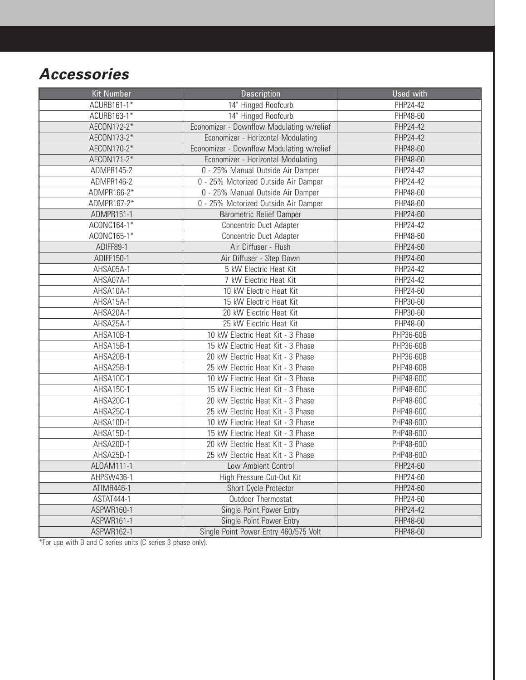# **Accessories**

| <b>Kit Number</b> | Description                               | <b>Used with</b> |
|-------------------|-------------------------------------------|------------------|
| ACURB161-1*       | 14" Hinged Roofcurb                       | PHP24-42         |
| ACURB163-1*       | 14" Hinged Roofcurb                       | PHP48-60         |
| AECON172-2*       | Economizer - Downflow Modulating w/relief | PHP24-42         |
| AECON173-2*       | Economizer - Horizontal Modulating        | PHP24-42         |
| AECON170-2*       | Economizer - Downflow Modulating w/relief | PHP48-60         |
| AECON171-2*       | Economizer - Horizontal Modulating        | PHP48-60         |
| ADMPR145-2        | 0 - 25% Manual Outside Air Damper         | PHP24-42         |
| ADMPR146-2        | 0 - 25% Motorized Outside Air Damper      | PHP24-42         |
| ADMPR166-2*       | 0 - 25% Manual Outside Air Damper         | PHP48-60         |
| ADMPR167-2*       | 0 - 25% Motorized Outside Air Damper      | PHP48-60         |
| ADMPR151-1        | <b>Barometric Relief Damper</b>           | PHP24-60         |
| ACONC164-1*       | Concentric Duct Adapter                   | PHP24-42         |
| ACONC165-1*       | Concentric Duct Adapter                   | PHP48-60         |
| ADIFF89-1         | Air Diffuser - Flush                      | PHP24-60         |
| ADIFF150-1        | Air Diffuser - Step Down                  | PHP24-60         |
| AHSA05A-1         | 5 kW Electric Heat Kit                    | PHP24-42         |
| AHSA07A-1         | 7 kW Electric Heat Kit                    | <b>PHP24-42</b>  |
| AHSA10A-1         | 10 kW Electric Heat Kit                   | PHP24-60         |
| AHSA15A-1         | 15 kW Electric Heat Kit                   | PHP30-60         |
| AHSA20A-1         | 20 kW Electric Heat Kit                   | PHP30-60         |
| AHSA25A-1         | 25 kW Electric Heat Kit                   | PHP48-60         |
| AHSA10B-1         | 10 kW Electric Heat Kit - 3 Phase         | PHP36-60B        |
| AHSA15B-1         | 15 kW Electric Heat Kit - 3 Phase         | PHP36-60B        |
| AHSA20B-1         | 20 kW Electric Heat Kit - 3 Phase         | PHP36-60B        |
| AHSA25B-1         | 25 kW Electric Heat Kit - 3 Phase         | PHP48-60B        |
| AHSA10C-1         | 10 kW Electric Heat Kit - 3 Phase         | PHP48-60C        |
| AHSA15C-1         | 15 kW Electric Heat Kit - 3 Phase         | PHP48-60C        |
| AHSA20C-1         | 20 kW Electric Heat Kit - 3 Phase         | PHP48-60C        |
| AHSA25C-1         | 25 kW Electric Heat Kit - 3 Phase         | PHP48-60C        |
| AHSA10D-1         | 10 kW Electric Heat Kit - 3 Phase         | PHP48-60D        |
| AHSA15D-1         | 15 kW Electric Heat Kit - 3 Phase         | PHP48-60D        |
| AHSA20D-1         | 20 kW Electric Heat Kit - 3 Phase         | PHP48-60D        |
| AHSA25D-1         | 25 kW Electric Heat Kit - 3 Phase         | PHP48-60D        |
| ALOAM111-1        | Low Ambient Control                       | PHP24-60         |
| AHPSW436-1        | High Pressure Cut-Out Kit                 | PHP24-60         |
| ATIMR446-1        | Short Cycle Protector                     | PHP24-60         |
| ASTAT444-1        | Outdoor Thermostat                        | PHP24-60         |
| ASPWR160-1        | Single Point Power Entry                  | PHP24-42         |
| ASPWR161-1        | Single Point Power Entry                  | PHP48-60         |
| ASPWR162-1        | Single Point Power Entry 460/575 Volt     | PHP48-60         |

\*For use with B and C series units (C series 3 phase only).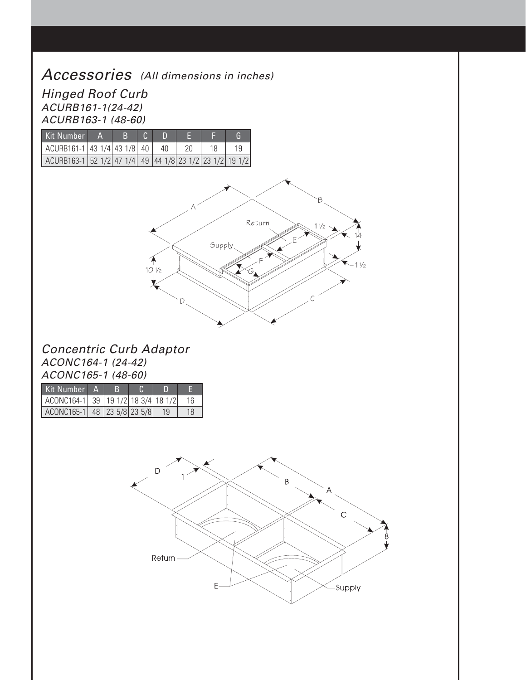### Accessories (All dimensions in inches)

Hinged Roof Curb ACURB161-1(24-42) ACURB163-1 (48-60)

| Kit Number                                                            | в |    |    |    |
|-----------------------------------------------------------------------|---|----|----|----|
| $\vert$ ACURB161-1 43 1/4 43 1/8 40                                   |   | 40 | 18 | 19 |
| ACURB163-1   52 1/2   47 1/4   49   44 1/8   23 1/2   23 1/2   19 1/2 |   |    |    |    |



#### Concentric Curb Adaptor ACONC164-1 (24-42) ACONC165-1 (48-60)

| Kit Number A.                      |  |    |    |
|------------------------------------|--|----|----|
| ACONC164-1 39 19 1/2 18 3/4 18 1/2 |  |    | 16 |
| ACONC165-1 48 23 5/8 23 5/8        |  | 19 | 18 |

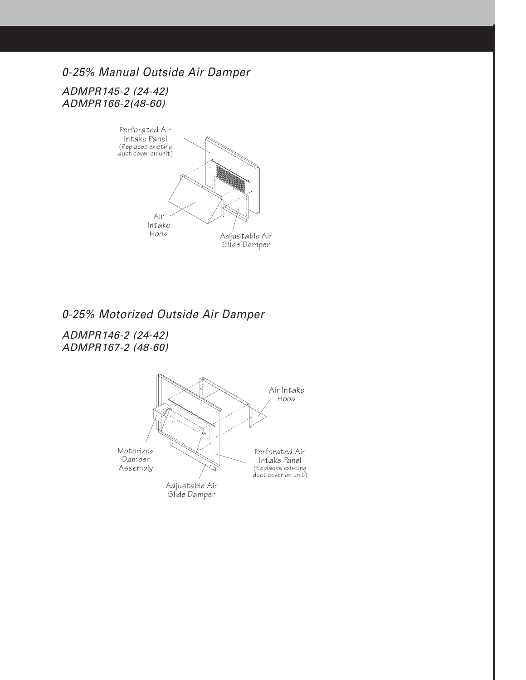#### 0-25% Manual Outside Air Damper

ADMPR145-2 (24-42) ADMPR166-2(48-60)



#### 0-25% Motorized Outside Air Damper

ADMPR146-2 (24-42) ADMPR167-2 (48-60)

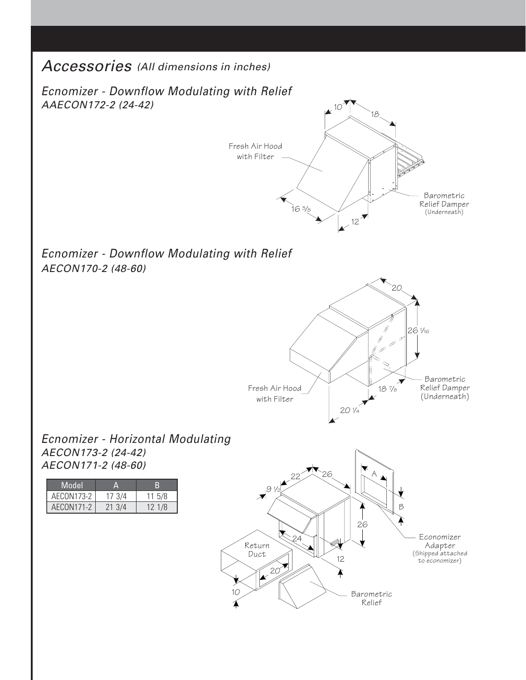#### Accessories (All dimensions in inches)

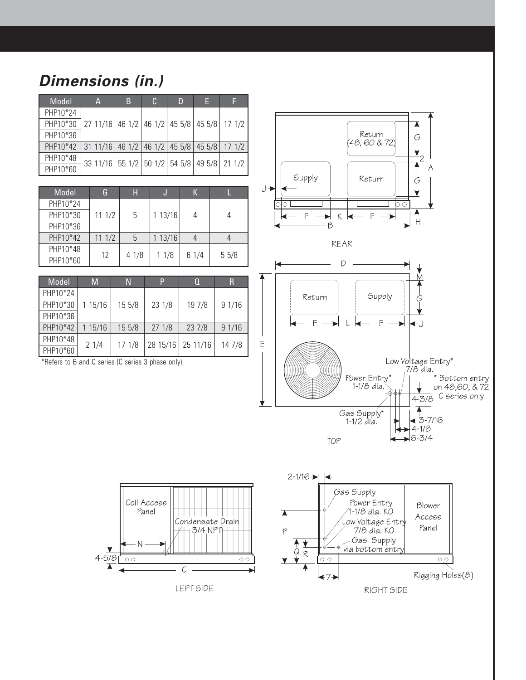# **Dimensions (in.)**

| Model    | A                                                     | B | C. | D | F |  |
|----------|-------------------------------------------------------|---|----|---|---|--|
| PHP10*24 |                                                       |   |    |   |   |  |
| PHP10*30 | 27 11/16   46 1/2   46 1/2   45 5/8   45 5/8   17 1/2 |   |    |   |   |  |
| PHP10*36 |                                                       |   |    |   |   |  |
| PHP10*42 | $\vert$ 31 11/16 46 1/2 46 1/2 45 5/8 45 5/8 17 1/2   |   |    |   |   |  |
| PHP10*48 | 33 11/16 55 1/2 50 1/2 54 5/8 49 5/8 21 1/2           |   |    |   |   |  |
| PHP10*60 |                                                       |   |    |   |   |  |

| Model    | G     | Н    |        | К    |      |
|----------|-------|------|--------|------|------|
| PHP10*24 |       |      |        |      |      |
| PHP10*30 | 111/2 | 5    | 113/16 | 4    |      |
| PHP10*36 |       |      |        |      |      |
| PHP10*42 | 111/2 | 5    | 113/16 |      |      |
| PHP10*48 | 12    | 41/8 | 11/8   | 61/4 | 55/8 |
| PHP10*60 |       |      |        |      |      |

| Model    | M       | N      | P        |          | R      |
|----------|---------|--------|----------|----------|--------|
| PHP10*24 |         |        |          |          |        |
| PHP10*30 | 1 15/16 | 15 5/8 | 23 1/8   | 19 7/8   | 91/16  |
| PHP10*36 |         |        |          |          |        |
| PHP10*42 | 1 15/16 | 15 5/8 | 271/8    | 237/8    | 91/16  |
| PHP10*48 | 21/4    | 171/8  | 28 15/16 | 25 11/16 | 14 7/8 |
| PHP10*60 |         |        |          |          |        |

Coil Access

Panel

 $1111111$ 

ondensate Drair

 $\overline{A}$ 

 $\mathcal{C}$ 

LEFT SIDE

\*Refers to B and C series (C series 3 phase only).

 $4 - 5/8$ 

 $\overline{\blacklozenge}$ 

 $\overline{\circ}$